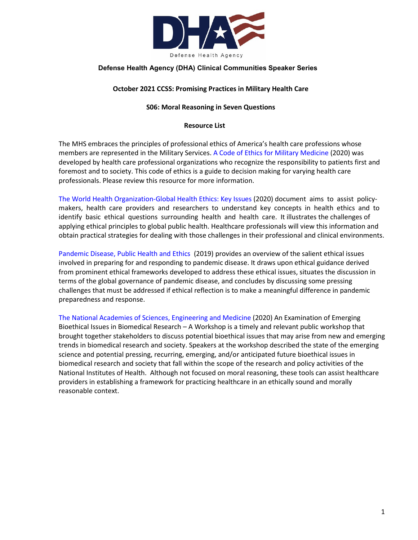

## **Defense Health Agency (DHA) Clinical Communities Speaker Series**

### **October 2021 CCSS: Promising Practices in Military Health Care**

### **S06: Moral Reasoning in Seven Questions**

#### **Resource List**

The MHS embraces the principles of professional ethics of America's health care professions whose members are represented in the Military Services[. A Code of Ethics for Military Medicine](https://doi.org/10.1093/milmed/usaa007) (2020) was developed by health care professional organizations who recognize the responsibility to patients first and foremost and to society. This code of ethics is a guide to decision making for varying health care professionals. Please review this resource for more information.

[The World Health Organization-Global Health Ethics: Key Issues](https://apps.who.int/iris/bitstream/handle/10665/164576/9789240694033_eng.pdf) (2020) document aims to assist policymakers, health care providers and researchers to understand key concepts in health ethics and to identify basic ethical questions surrounding health and health care. It illustrates the challenges of applying ethical principles to global public health. Healthcare professionals will view this information and obtain practical strategies for dealing with those challenges in their professional and clinical environments.

[Pandemic Disease, Public Health and Ethics](https://www.oxfordhandbooks.com/view/10.1093/oxfordhb/9780190245191.001.0001/oxfordhb-9780190245191-e-69) (2019) provides an overview of the salient ethical issues involved in preparing for and responding to pandemic disease. It draws upon ethical guidance derived from prominent ethical frameworks developed to address these ethical issues, situates the discussion in terms of the global governance of pandemic disease, and concludes by discussing some pressing challenges that must be addressed if ethical reflection is to make a meaningful difference in pandemic preparedness and response.

[The National Academies of Sciences, Engineering and Medicine](https://www.nationalacademies.org/event/02-26-2020/an-examination-of-emerging-bioethical-issues-in-biomedical-research-a-workshop) (2020) An Examination of Emerging Bioethical Issues in Biomedical Research – A Workshop is a timely and relevant public workshop that brought together stakeholders to discuss potential bioethical issues that may arise from new and emerging trends in biomedical research and society. Speakers at the workshop described the state of the emerging science and potential pressing, recurring, emerging, and/or anticipated future bioethical issues in biomedical research and society that fall within the scope of the research and policy activities of the National Institutes of Health. Although not focused on moral reasoning, these tools can assist healthcare providers in establishing a framework for practicing healthcare in an ethically sound and morally reasonable context.